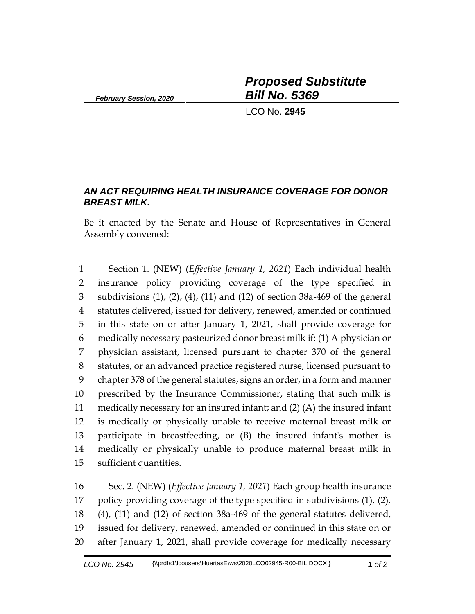*February Session, 2020*

*Proposed Substitute Bill No. 5369*

LCO No. **2945**

## *AN ACT REQUIRING HEALTH INSURANCE COVERAGE FOR DONOR BREAST MILK.*

Be it enacted by the Senate and House of Representatives in General Assembly convened:

 Section 1. (NEW) (*Effective January 1, 2021*) Each individual health insurance policy providing coverage of the type specified in subdivisions (1), (2), (4), (11) and (12) of section 38a-469 of the general statutes delivered, issued for delivery, renewed, amended or continued in this state on or after January 1, 2021, shall provide coverage for medically necessary pasteurized donor breast milk if: (1) A physician or physician assistant, licensed pursuant to chapter 370 of the general statutes, or an advanced practice registered nurse, licensed pursuant to chapter 378 of the general statutes, signs an order, in a form and manner prescribed by the Insurance Commissioner, stating that such milk is medically necessary for an insured infant; and (2) (A) the insured infant is medically or physically unable to receive maternal breast milk or participate in breastfeeding, or (B) the insured infant's mother is medically or physically unable to produce maternal breast milk in sufficient quantities.

 Sec. 2. (NEW) (*Effective January 1, 2021*) Each group health insurance policy providing coverage of the type specified in subdivisions (1), (2), (4), (11) and (12) of section 38a-469 of the general statutes delivered, issued for delivery, renewed, amended or continued in this state on or after January 1, 2021, shall provide coverage for medically necessary